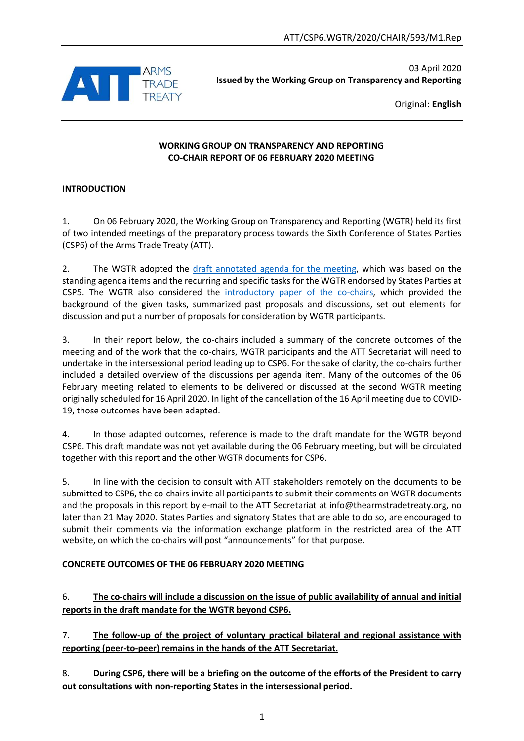

03 April 2020 **Issued by the Working Group on Transparency and Reporting**

Original: **English**

#### **WORKING GROUP ON TRANSPARENCY AND REPORTING CO-CHAIR REPORT OF 06 FEBRUARY 2020 MEETING**

### **INTRODUCTION**

1. On 06 February 2020, the Working Group on Transparency and Reporting (WGTR) held its first of two intended meetings of the preparatory process towards the Sixth Conference of States Parties (CSP6) of the Arms Trade Treaty (ATT).

2. The WGTR adopted the [draft annotated agenda for the meeting,](https://thearmstradetreaty.org/hyper-images/file/ATT%20WGTR%20-%20Draft%20annotated%20agenda%20for%2006%20February%202020/ATT%20WGTR%20-%20Draft%20annotated%20agenda%20for%2006%20February%202020.pdf) which was based on the standing agenda items and the recurring and specific tasks for the WGTR endorsed by States Parties at CSP5. The WGTR also considered the [introductory paper of the co-chairs,](https://thearmstradetreaty.org/hyper-images/file/ATT%20WGTR%20-%20Introductory%20Paper%20for%2006%20February%202020/ATT%20WGTR%20-%20Introductory%20Paper%20for%2006%20February%202020.pdf) which provided the background of the given tasks, summarized past proposals and discussions, set out elements for discussion and put a number of proposals for consideration by WGTR participants.

3. In their report below, the co-chairs included a summary of the concrete outcomes of the meeting and of the work that the co-chairs, WGTR participants and the ATT Secretariat will need to undertake in the intersessional period leading up to CSP6. For the sake of clarity, the co-chairs further included a detailed overview of the discussions per agenda item. Many of the outcomes of the 06 February meeting related to elements to be delivered or discussed at the second WGTR meeting originally scheduled for 16 April 2020. In light of the cancellation of the 16 April meeting due to COVID-19, those outcomes have been adapted.

4. In those adapted outcomes, reference is made to the draft mandate for the WGTR beyond CSP6. This draft mandate was not yet available during the 06 February meeting, but will be circulated together with this report and the other WGTR documents for CSP6.

5. In line with the decision to consult with ATT stakeholders remotely on the documents to be submitted to CSP6, the co-chairs invite all participants to submit their comments on WGTR documents and the proposals in this report by e-mail to the ATT Secretariat at [info@thearmstradetreaty.org,](mailto:info@thearmstradetreaty.org) no later than 21 May 2020. States Parties and signatory States that are able to do so, are encouraged to submit their comments via the information exchange platform in the restricted area of the ATT website, on which the co-chairs will post "announcements" for that purpose.

## **CONCRETE OUTCOMES OF THE 06 FEBRUARY 2020 MEETING**

6. **The co-chairs will include a discussion on the issue of public availability of annual and initial reports in the draft mandate for the WGTR beyond CSP6.**

7. **The follow-up of the project of voluntary practical bilateral and regional assistance with reporting (peer-to-peer) remains in the hands of the ATT Secretariat.**

8. **During CSP6, there will be a briefing on the outcome of the efforts of the President to carry out consultations with non-reporting States in the intersessional period.**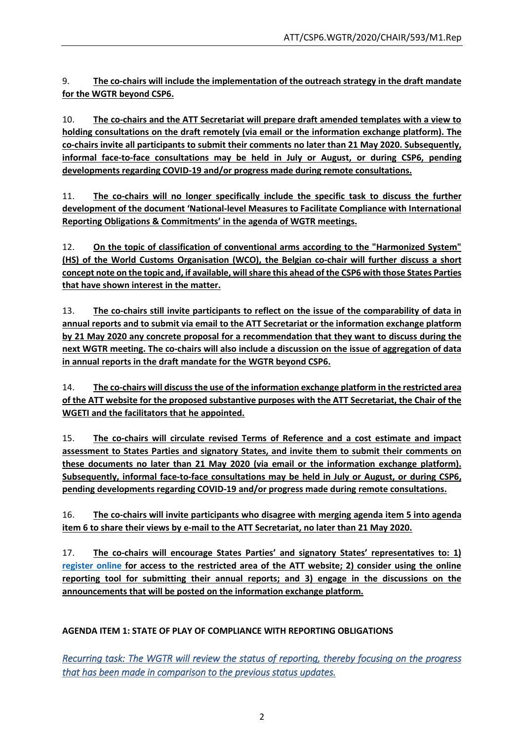9. **The co-chairs will include the implementation of the outreach strategy in the draft mandate for the WGTR beyond CSP6.**

10. **The co-chairs and the ATT Secretariat will prepare draft amended templates with a view to holding consultations on the draft remotely (via email or the information exchange platform). The co-chairs invite all participants to submit their comments no later than 21 May 2020. Subsequently, informal face-to-face consultations may be held in July or August, or during CSP6, pending developments regarding COVID-19 and/or progress made during remote consultations.** 

11. **The co-chairs will no longer specifically include the specific task to discuss the further development of the document 'National-level Measures to Facilitate Compliance with International Reporting Obligations & Commitments' in the agenda of WGTR meetings.**

12. **On the topic of classification of conventional arms according to the "Harmonized System" (HS) of the World Customs Organisation (WCO), the Belgian co-chair will further discuss a short concept note on the topic and, if available, will share this ahead of the CSP6 with those States Parties that have shown interest in the matter.**

13. **The co-chairs still invite participants to reflect on the issue of the comparability of data in annual reports and to submit via email to the ATT Secretariat or the information exchange platform by 21 May 2020 any concrete proposal for a recommendation that they want to discuss during the next WGTR meeting. The co-chairs will also include a discussion on the issue of aggregation of data in annual reports in the draft mandate for the WGTR beyond CSP6.**

14. **The co-chairs will discuss the use of the information exchange platform in the restricted area of the ATT website for the proposed substantive purposes with the ATT Secretariat, the Chair of the WGETI and the facilitators that he appointed.**

15. **The co-chairs will circulate revised Terms of Reference and a cost estimate and impact assessment to States Parties and signatory States, and invite them to submit their comments on these documents no later than 21 May 2020 (via email or the information exchange platform). Subsequently, informal face-to-face consultations may be held in July or August, or during CSP6, pending developments regarding COVID-19 and/or progress made during remote consultations.** 

16. **The co-chairs will invite participants who disagree with merging agenda item 5 into agenda item 6 to share their views by e-mail to the ATT Secretariat, no later than 21 May 2020.**

17. **The co-chairs will encourage States Parties' and signatory States' representatives to: 1) [register online](https://www.thearmstradetreaty.org/registration-to-portal.html) for access to the restricted area of the ATT website; 2) consider using the online reporting tool for submitting their annual reports; and 3) engage in the discussions on the announcements that will be posted on the information exchange platform.**

# **AGENDA ITEM 1: STATE OF PLAY OF COMPLIANCE WITH REPORTING OBLIGATIONS**

*Recurring task: The WGTR will review the status of reporting, thereby focusing on the progress that has been made in comparison to the previous status updates.*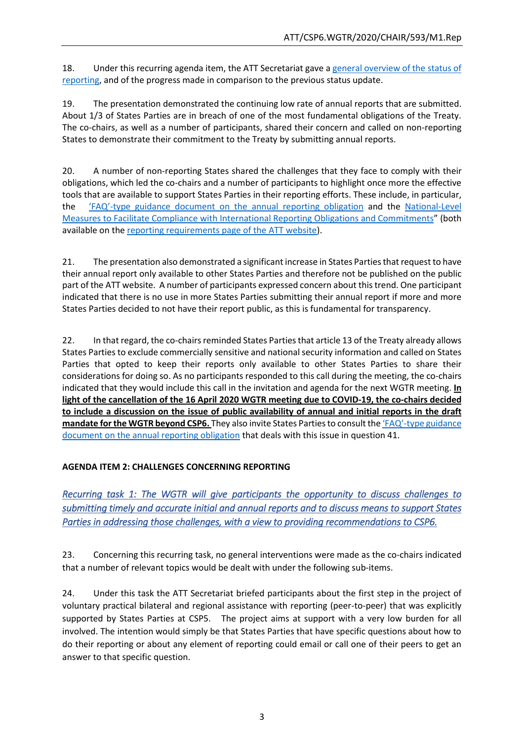18. Under this recurring agenda item, the ATT Secretariat gave a [general overview of the status of](https://thearmstradetreaty.org/hyper-images/file/200206%20-%20ATT%20Secretariat%20-%20Status%20of%20Reporting%20(06.02.2020)/200206%20-%20ATT%20Secretariat%20-%20Status%20of%20Reporting%20(06.02.2020).pdf)  [reporting,](https://thearmstradetreaty.org/hyper-images/file/200206%20-%20ATT%20Secretariat%20-%20Status%20of%20Reporting%20(06.02.2020)/200206%20-%20ATT%20Secretariat%20-%20Status%20of%20Reporting%20(06.02.2020).pdf) and of the progress made in comparison to the previous status update.

19. The presentation demonstrated the continuing low rate of annual reports that are submitted. About 1/3 of States Parties are in breach of one of the most fundamental obligations of the Treaty. The co-chairs, as well as a number of participants, shared their concern and called on non-reporting States to demonstrate their commitment to the Treaty by submitting annual reports.

20. A number of non-reporting States shared the challenges that they face to comply with their obligations, which led the co-chairs and a number of participants to highlight once more the effective tools that are available to support States Parties in their reporting efforts. These include, in particular, the 'FAQ'[-type guidance document on the annual reporting obligation](https://thearmstradetreaty.org/hyper-images/file/ATT_CSP5_WGTR_Guide%20to%20Reporting%20(Annex%20B%20to%20WGTR%20Report%20to%20CSP5)/ATT_CSP5_WGTR_Guide%20to%20Reporting%20(Annex%20B%20to%20WGTR%20Report%20to%20CSP5).pdf?templateId=1280266) and the [National-Level](https://thearmstradetreaty.org/hyper-images/file/WGTR%20-%20National%20level%20measures%20(Annex%20B%20to%20WGTR%20Report%20to%20CSP3)%20-%20EN/WGTR%20-%20National%20level%20measures%20(Annex%20B%20to%20WGTR%20Report%20to%20CSP3)%20-%20EN.pdf?templateId=1265194)  [Measures to Facilitate Compliance with International Reporting Obligations and Commitments](https://thearmstradetreaty.org/hyper-images/file/WGTR%20-%20National%20level%20measures%20(Annex%20B%20to%20WGTR%20Report%20to%20CSP3)%20-%20EN/WGTR%20-%20National%20level%20measures%20(Annex%20B%20to%20WGTR%20Report%20to%20CSP3)%20-%20EN.pdf?templateId=1265194)" (both available on the [reporting requirements page of the ATT website\)](https://thearmstradetreaty.org/reporting.html).

21. The presentation also demonstrated a significant increase in States Parties that request to have their annual report only available to other States Parties and therefore not be published on the public part of the ATT website. A number of participants expressed concern about this trend. One participant indicated that there is no use in more States Parties submitting their annual report if more and more States Parties decided to not have their report public, as this is fundamental for transparency.

22. In that regard, the co-chairs reminded States Parties that article 13 of the Treaty already allows States Parties to exclude commercially sensitive and national security information and called on States Parties that opted to keep their reports only available to other States Parties to share their considerations for doing so. As no participants responded to this call during the meeting, the co-chairs indicated that they would include this call in the invitation and agenda for the next WGTR meeting. **In light of the cancellation of the 16 April 2020 WGTR meeting due to COVID-19, the co-chairs decided to include a discussion on the issue of public availability of annual and initial reports in the draft mandate for the WGTR beyond CSP6.** They also invite States Parties to consult the 'FAQ'[-type guidance](https://thearmstradetreaty.org/hyper-images/file/ATT_CSP5_WGTR_Guide%20to%20Reporting%20(Annex%20B%20to%20WGTR%20Report%20to%20CSP5)/ATT_CSP5_WGTR_Guide%20to%20Reporting%20(Annex%20B%20to%20WGTR%20Report%20to%20CSP5).pdf?templateId=1280266)  [document on the annual reporting obligation](https://thearmstradetreaty.org/hyper-images/file/ATT_CSP5_WGTR_Guide%20to%20Reporting%20(Annex%20B%20to%20WGTR%20Report%20to%20CSP5)/ATT_CSP5_WGTR_Guide%20to%20Reporting%20(Annex%20B%20to%20WGTR%20Report%20to%20CSP5).pdf?templateId=1280266) that deals with this issue in question 41.

## **AGENDA ITEM 2: CHALLENGES CONCERNING REPORTING**

*Recurring task 1: The WGTR will give participants the opportunity to discuss challenges to submitting timely and accurate initial and annual reports and to discuss means to support States Parties in addressing those challenges, with a view to providing recommendations to CSP6.* 

23. Concerning this recurring task, no general interventions were made as the co-chairs indicated that a number of relevant topics would be dealt with under the following sub-items.

24. Under this task the ATT Secretariat briefed participants about the first step in the project of voluntary practical bilateral and regional assistance with reporting (peer-to-peer) that was explicitly supported by States Parties at CSP5. The project aims at support with a very low burden for all involved. The intention would simply be that States Parties that have specific questions about how to do their reporting or about any element of reporting could email or call one of their peers to get an answer to that specific question.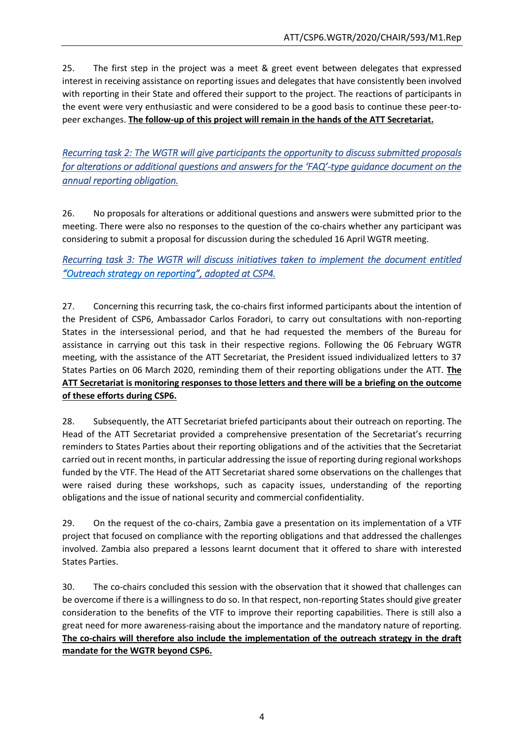25. The first step in the project was a meet & greet event between delegates that expressed interest in receiving assistance on reporting issues and delegates that have consistently been involved with reporting in their State and offered their support to the project. The reactions of participants in the event were very enthusiastic and were considered to be a good basis to continue these peer-topeer exchanges. **The follow-up of this project will remain in the hands of the ATT Secretariat.**

*Recurring task 2: The WGTR will give participants the opportunity to discuss submitted proposals for alterations or additional questions and answers for the 'FAQ'-type guidance document on the annual reporting obligation.* 

26. No proposals for alterations or additional questions and answers were submitted prior to the meeting. There were also no responses to the question of the co-chairs whether any participant was considering to submit a proposal for discussion during the scheduled 16 April WGTR meeting.

*Recurring task 3: The WGTR will discuss initiatives taken to implement the document entitled ["Outreach strategy on reporting"](https://www.thearmstradetreaty.org/hyper-images/file/ATT_CSP4_WGTR_Co-chairs_report__EN1/ATT_CSP4_WGTR_Co-chairs_report__EN.pdf), adopted at CSP4.* 

27. Concerning this recurring task, the co-chairs first informed participants about the intention of the President of CSP6, Ambassador Carlos Foradori, to carry out consultations with non-reporting States in the intersessional period, and that he had requested the members of the Bureau for assistance in carrying out this task in their respective regions. Following the 06 February WGTR meeting, with the assistance of the ATT Secretariat, the President issued individualized letters to 37 States Parties on 06 March 2020, reminding them of their reporting obligations under the ATT. **The ATT Secretariat is monitoring responses to those letters and there will be a briefing on the outcome of these efforts during CSP6.**

28. Subsequently, the ATT Secretariat briefed participants about their outreach on reporting. The Head of the ATT Secretariat provided a comprehensive presentation of the Secretariat's recurring reminders to States Parties about their reporting obligations and of the activities that the Secretariat carried out in recent months, in particular addressing the issue of reporting during regional workshops funded by the VTF. The Head of the ATT Secretariat shared some observations on the challenges that were raised during these workshops, such as capacity issues, understanding of the reporting obligations and the issue of national security and commercial confidentiality.

29. On the request of the co-chairs, Zambia gave a presentation on its implementation of a VTF project that focused on compliance with the reporting obligations and that addressed the challenges involved. Zambia also prepared a lessons learnt document that it offered to share with interested States Parties.

30. The co-chairs concluded this session with the observation that it showed that challenges can be overcome if there is a willingness to do so. In that respect, non-reporting States should give greater consideration to the benefits of the VTF to improve their reporting capabilities. There is still also a great need for more awareness-raising about the importance and the mandatory nature of reporting. **The co-chairs will therefore also include the implementation of the outreach strategy in the draft mandate for the WGTR beyond CSP6.**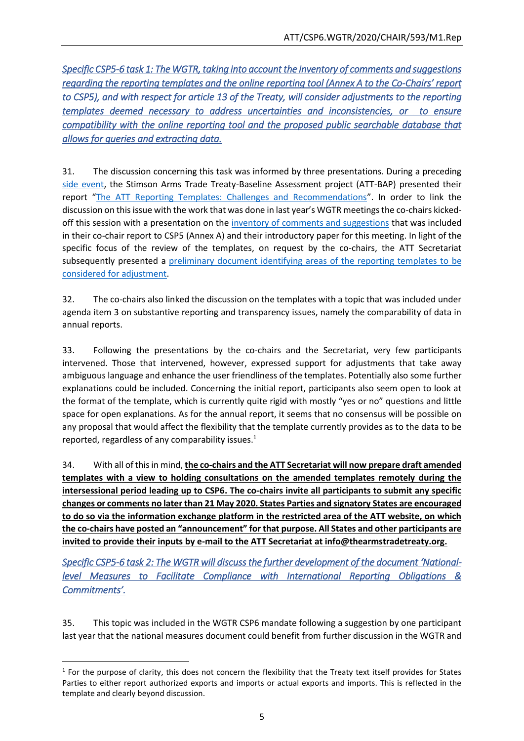*Specific CSP5-6 task 1: The WGTR, taking into account the inventory of comments and suggestions regarding the reporting templates and the online reporting tool (Annex A to the Co-Chairs' report to CSP5), and with respect for article 13 of the Treaty, will consider adjustments to the reporting templates deemed necessary to address uncertainties and inconsistencies, or to ensure compatibility with the online reporting tool and the proposed public searchable database that allows for queries and extracting data.* 

31. The discussion concerning this task was informed by three presentations. During a preceding [side event,](https://thearmstradetreaty.org/hyper-images/file/Assessing%20ATT%20Transparency_%20state%20of%20affairs%20and%20ways%20forward%20(3)/Assessing%20ATT%20Transparency_%20state%20of%20affairs%20and%20ways%20forward%20(3).pdf) the Stimson Arms Trade Treaty-Baseline Assessment project (ATT-BAP) presented their report "[The ATT Reporting Templates: Challenges and Recommendations](http://www.armstrade.info/wp-content/uploads/2014/10/Reporting-Templates-Challenges-and-Recommendations_Web-Version.pdf)". In order to link the discussion on this issue with the work that was done in last year's WGTR meetings the co-chairs kickedoff this session with a presentation on the [inventory of comments and suggestions](https://thearmstradetreaty.org/hyper-images/file/ATT_WGTR_CSP5_Co-chair) that was included in their co-chair report to CSP5 (Annex A) and their introductory paper for this meeting. In light of the specific focus of the review of the templates, on request by the co-chairs, the ATT Secretariat subsequently presented a [preliminary document identifying areas of the reporting templates to be](https://thearmstradetreaty.org/hyper-images/file/ATTS%20-%20Background%20Paper%20on%20Issues%20with%20existing%20templates%20(16%20January%202020)/ATTS%20-%20Background%20Paper%20on%20Issues%20with%20existing%20templates%20(16%20January%202020).pdf)  [considered for adjustment.](https://thearmstradetreaty.org/hyper-images/file/ATTS%20-%20Background%20Paper%20on%20Issues%20with%20existing%20templates%20(16%20January%202020)/ATTS%20-%20Background%20Paper%20on%20Issues%20with%20existing%20templates%20(16%20January%202020).pdf)

32. The co-chairs also linked the discussion on the templates with a topic that was included under agenda item 3 on substantive reporting and transparency issues, namely the comparability of data in annual reports.

33. Following the presentations by the co-chairs and the Secretariat, very few participants intervened. Those that intervened, however, expressed support for adjustments that take away ambiguous language and enhance the user friendliness of the templates. Potentially also some further explanations could be included. Concerning the initial report, participants also seem open to look at the format of the template, which is currently quite rigid with mostly "yes or no" questions and little space for open explanations. As for the annual report, it seems that no consensus will be possible on any proposal that would affect the flexibility that the template currently provides as to the data to be reported, regardless of any comparability issues.<sup>1</sup>

34. With all of this in mind, **the co-chairs and the ATT Secretariat will now prepare draft amended templates with a view to holding consultations on the amended templates remotely during the intersessional period leading up to CSP6. The co-chairs invite all participants to submit any specific changes or comments no later than 21 May 2020. States Parties and signatory States are encouraged to do so via the information exchange platform in the restricted area of the ATT website, on which the co-chairs have posted an "announcement" for that purpose. All States and other participants are invited to provide their inputs by e-mail to the ATT Secretariat at info@thearmstradetreaty.org.**

*Specific CSP5-6 task 2: The WGTR will discuss the further development of the document 'Nationallevel Measures to Facilitate Compliance with International Reporting Obligations & Commitments'.* 

35. This topic was included in the WGTR CSP6 mandate following a suggestion by one participant last year that the national measures document could benefit from further discussion in the WGTR and

**.** 

 $<sup>1</sup>$  For the purpose of clarity, this does not concern the flexibility that the Treaty text itself provides for States</sup> Parties to either report authorized exports and imports or actual exports and imports. This is reflected in the template and clearly beyond discussion.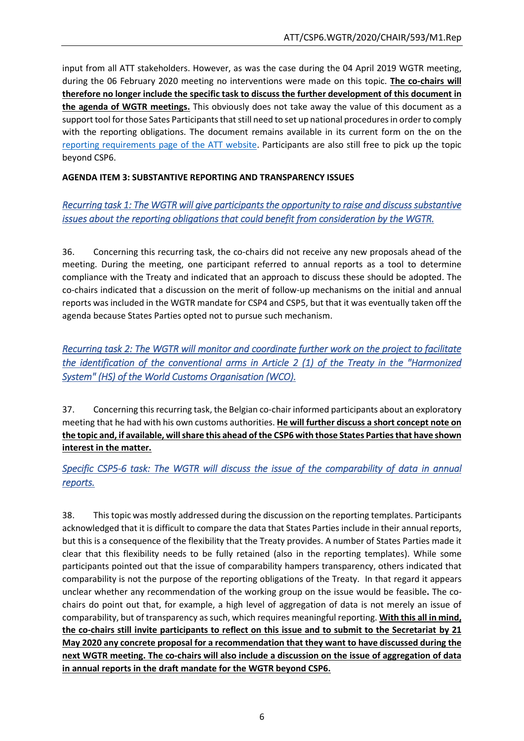input from all ATT stakeholders. However, as was the case during the 04 April 2019 WGTR meeting, during the 06 February 2020 meeting no interventions were made on this topic. **The co-chairs will therefore no longer include the specific task to discuss the further development of this document in the agenda of WGTR meetings.** This obviously does not take away the value of this document as a support tool for those Sates Participants that still need to set up national procedures in order to comply with the reporting obligations. The document remains available in its current form on the on the [reporting requirements page of the ATT website.](https://thearmstradetreaty.org/reporting.html) Participants are also still free to pick up the topic beyond CSP6.

## **AGENDA ITEM 3: SUBSTANTIVE REPORTING AND TRANSPARENCY ISSUES**

# *Recurring task 1: The WGTR will give participants the opportunity to raise and discuss substantive issues about the reporting obligations that could benefit from consideration by the WGTR.*

36. Concerning this recurring task, the co-chairs did not receive any new proposals ahead of the meeting. During the meeting, one participant referred to annual reports as a tool to determine compliance with the Treaty and indicated that an approach to discuss these should be adopted. The co-chairs indicated that a discussion on the merit of follow-up mechanisms on the initial and annual reports was included in the WGTR mandate for CSP4 and CSP5, but that it was eventually taken off the agenda because States Parties opted not to pursue such mechanism.

*Recurring task 2: The WGTR will monitor and coordinate further work on the project to facilitate the identification of the conventional arms in Article 2 (1) of the Treaty in the "Harmonized System" (HS) of the World Customs Organisation (WCO).* 

37. Concerning this recurring task, the Belgian co-chair informed participants about an exploratory meeting that he had with his own customs authorities. **He will further discuss a short concept note on the topic and, if available, will share this ahead of the CSP6 with those States Parties that have shown interest in the matter.**

*Specific CSP5-6 task: The WGTR will discuss the issue of the comparability of data in annual reports.* 

38. This topic was mostly addressed during the discussion on the reporting templates. Participants acknowledged that it is difficult to compare the data that States Parties include in their annual reports, but this is a consequence of the flexibility that the Treaty provides. A number of States Parties made it clear that this flexibility needs to be fully retained (also in the reporting templates). While some participants pointed out that the issue of comparability hampers transparency, others indicated that comparability is not the purpose of the reporting obligations of the Treaty. In that regard it appears unclear whether any recommendation of the working group on the issue would be feasible**.** The cochairs do point out that, for example, a high level of aggregation of data is not merely an issue of comparability, but of transparency as such, which requires meaningful reporting. **With this all in mind, the co-chairs still invite participants to reflect on this issue and to submit to the Secretariat by 21 May 2020 any concrete proposal for a recommendation that they want to have discussed during the next WGTR meeting. The co-chairs will also include a discussion on the issue of aggregation of data in annual reports in the draft mandate for the WGTR beyond CSP6.**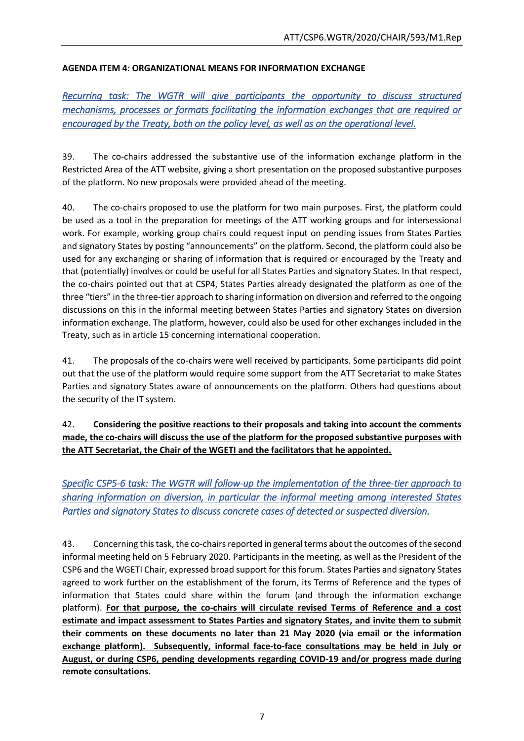# **AGENDA ITEM 4: ORGANIZATIONAL MEANS FOR INFORMATION EXCHANGE**

*Recurring task: The WGTR will give participants the opportunity to discuss structured mechanisms, processes or formats facilitating the information exchanges that are required or encouraged by the Treaty, both on the policy level, as well as on the operational level.* 

39. The co-chairs addressed the substantive use of the information exchange platform in the Restricted Area of the ATT website, giving a short presentation on the proposed substantive purposes of the platform. No new proposals were provided ahead of the meeting.

40. The co-chairs proposed to use the platform for two main purposes. First, the platform could be used as a tool in the preparation for meetings of the ATT working groups and for intersessional work. For example, working group chairs could request input on pending issues from States Parties and signatory States by posting "announcements" on the platform. Second, the platform could also be used for any exchanging or sharing of information that is required or encouraged by the Treaty and that (potentially) involves or could be useful for all States Parties and signatory States. In that respect, the co-chairs pointed out that at CSP4, States Parties already designated the platform as one of the three "tiers" in the three-tier approach to sharing information on diversion and referred to the ongoing discussions on this in the informal meeting between States Parties and signatory States on diversion information exchange. The platform, however, could also be used for other exchanges included in the Treaty, such as in article 15 concerning international cooperation.

41. The proposals of the co-chairs were well received by participants. Some participants did point out that the use of the platform would require some support from the ATT Secretariat to make States Parties and signatory States aware of announcements on the platform. Others had questions about the security of the IT system.

42. **Considering the positive reactions to their proposals and taking into account the comments made, the co-chairs will discuss the use of the platform for the proposed substantive purposes with the ATT Secretariat, the Chair of the WGETI and the facilitators that he appointed.** 

*Specific CSP5-6 task: The WGTR will follow-up the implementation of the three-tier approach to sharing information on diversion, in particular the informal meeting among interested States Parties and signatory States to discuss concrete cases of detected or suspected diversion.* 

43. Concerning this task, the co-chairs reported in general terms about the outcomes of the second informal meeting held on 5 February 2020. Participants in the meeting, as well as the President of the CSP6 and the WGETI Chair, expressed broad support for this forum. States Parties and signatory States agreed to work further on the establishment of the forum, its Terms of Reference and the types of information that States could share within the forum (and through the information exchange platform). **For that purpose, the co-chairs will circulate revised Terms of Reference and a cost estimate and impact assessment to States Parties and signatory States, and invite them to submit their comments on these documents no later than 21 May 2020 (via email or the information exchange platform). Subsequently, informal face-to-face consultations may be held in July or August, or during CSP6, pending developments regarding COVID-19 and/or progress made during remote consultations.**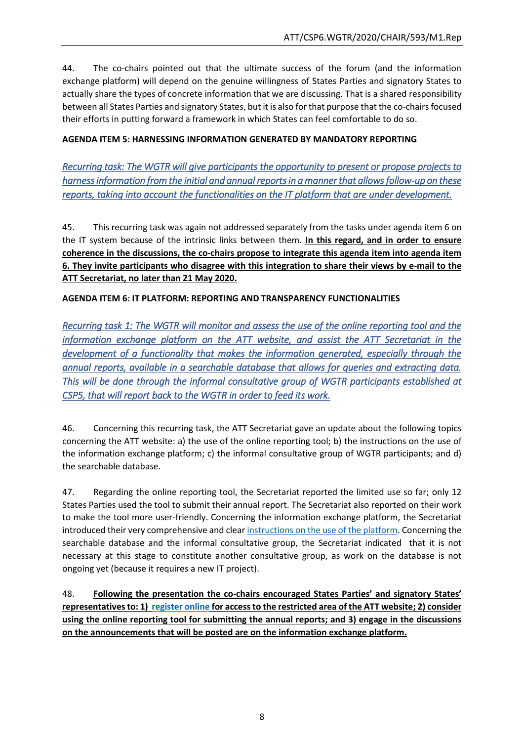44. The co-chairs pointed out that the ultimate success of the forum (and the information exchange platform) will depend on the genuine willingness of States Parties and signatory States to actually share the types of concrete information that we are discussing. That is a shared responsibility between all States Parties and signatory States, but it is also for that purpose that the co-chairsfocused their efforts in putting forward a framework in which States can feel comfortable to do so.

## **AGENDA ITEM 5: HARNESSING INFORMATION GENERATED BY MANDATORY REPORTING**

*Recurring task: The WGTR will give participants the opportunity to present or propose projects to harness information from the initial and annual reports in a manner that allows follow-up on these reports, taking into account the functionalities on the IT platform that are under development.* 

45. This recurring task was again not addressed separately from the tasks under agenda item 6 on the IT system because of the intrinsic links between them. **In this regard, and in order to ensure coherence in the discussions, the co-chairs propose to integrate this agenda item into agenda item 6. They invite participants who disagree with this integration to share their views by e-mail to the ATT Secretariat, no later than 21 May 2020.**

### **AGENDA ITEM 6: IT PLATFORM: REPORTING AND TRANSPARENCY FUNCTIONALITIES**

*Recurring task 1: The WGTR will monitor and assess the use of the online reporting tool and the information exchange platform on the ATT website, and assist the ATT Secretariat in the development of a functionality that makes the information generated, especially through the annual reports, available in a searchable database that allows for queries and extracting data. This will be done through the informal consultative group of WGTR participants established at CSP5, that will report back to the WGTR in order to feed its work.* 

46. Concerning this recurring task, the ATT Secretariat gave an update about the following topics concerning the ATT website: a) the use of the online reporting tool; b) the instructions on the use of the information exchange platform; c) the informal consultative group of WGTR participants; and d) the searchable database.

47. Regarding the online reporting tool, the Secretariat reported the limited use so far; only 12 States Parties used the tool to submit their annual report. The Secretariat also reported on their work to make the tool more user-friendly. Concerning the information exchange platform, the Secretariat introduced their very comprehensive and clear instructions [on the use of the platform.](https://thearmstradetreaty.org/hyper-images/file/ATTS%20-%20Guidance%20for%20the%20Information%20Exchange%20Platform%20(16%20January%202020)-compressed/ATTS%20-%20Guidance%20for%20the%20Information%20Exchange%20Platform%20(16%20January%202020)-compressed.pdf) Concerning the searchable database and the informal consultative group, the Secretariat indicated that it is not necessary at this stage to constitute another consultative group, as work on the database is not ongoing yet (because it requires a new IT project).

48. **Following the presentation the co-chairs encouraged States Parties' and signatory States' representatives to: 1) [register online](https://www.thearmstradetreaty.org/registration-to-portal.html) for access to the restricted area of the ATT website; 2) consider using the online reporting tool for submitting the annual reports; and 3) engage in the discussions on the announcements that will be posted are on the information exchange platform.**